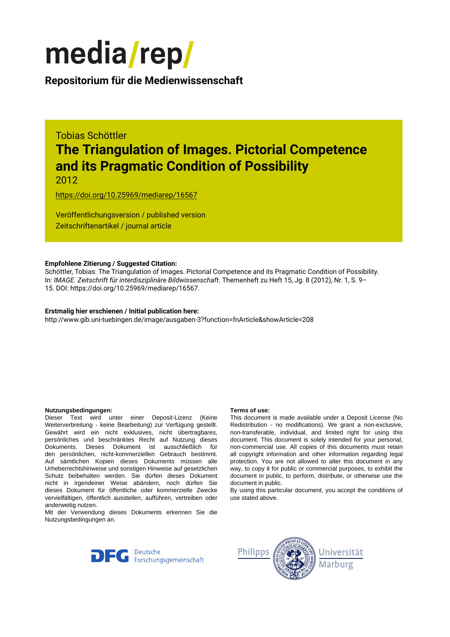

### **Repositorium für die [Medienwissenschaft](https://mediarep.org)**

# Tobias Schöttler **The Triangulation of Images. Pictorial Competence and its Pragmatic Condition of Possibility**

2012

<https://doi.org/10.25969/mediarep/16567>

Veröffentlichungsversion / published version Zeitschriftenartikel / journal article

#### **Empfohlene Zitierung / Suggested Citation:**

Schöttler, Tobias: The Triangulation of Images. Pictorial Competence and its Pragmatic Condition of Possibility. In: *IMAGE. Zeitschrift für interdisziplinäre Bildwissenschaft*. Themenheft zu Heft 15, Jg. 8 (2012), Nr. 1, S. 9– 15. DOI: https://doi.org/10.25969/mediarep/16567.

#### **Erstmalig hier erschienen / Initial publication here:**

http://www.gib.uni-tuebingen.de/image/ausgaben-3?function=fnArticle&showArticle=208

#### **Nutzungsbedingungen: Terms of use:**

Dieser Text wird unter einer Deposit-Lizenz (Keine Weiterverbreitung - keine Bearbeitung) zur Verfügung gestellt. Gewährt wird ein nicht exklusives, nicht übertragbares, persönliches und beschränktes Recht auf Nutzung dieses Dokuments. Dieses Dokument ist ausschließlich für den persönlichen, nicht-kommerziellen Gebrauch bestimmt. Auf sämtlichen Kopien dieses Dokuments müssen alle Urheberrechtshinweise und sonstigen Hinweise auf gesetzlichen Schutz beibehalten werden. Sie dürfen dieses Dokument nicht in irgendeiner Weise abändern, noch dürfen Sie dieses Dokument für öffentliche oder kommerzielle Zwecke vervielfältigen, öffentlich ausstellen, aufführen, vertreiben oder anderweitig nutzen.

Mit der Verwendung dieses Dokuments erkennen Sie die Nutzungsbedingungen an.

This document is made available under a Deposit License (No Redistribution - no modifications). We grant a non-exclusive, non-transferable, individual, and limited right for using this document. This document is solely intended for your personal, non-commercial use. All copies of this documents must retain all copyright information and other information regarding legal protection. You are not allowed to alter this document in any way, to copy it for public or commercial purposes, to exhibit the document in public, to perform, distribute, or otherwise use the document in public.

By using this particular document, you accept the conditions of use stated above.



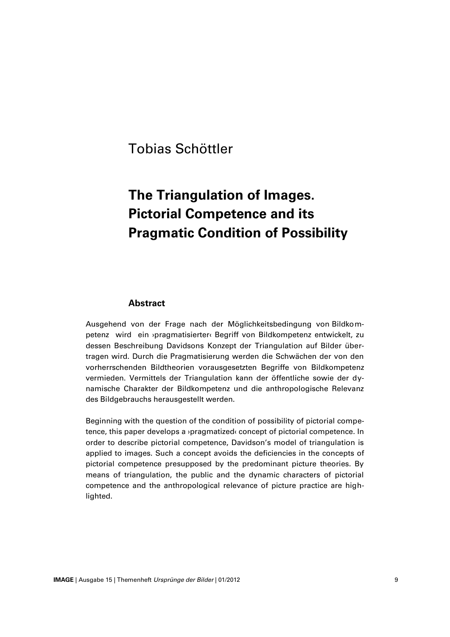## Tobias Schöttler

# **The Triangulation of Images. Pictorial Competence and its Pragmatic Condition of Possibility**

#### **Abstract**

Ausgehend von der Frage nach der Möglichkeitsbedingung von Bildkompetenz wird ein ›pragmatisierter‹ Begriff von Bildkompetenz entwickelt, zu dessen Beschreibung Davidsons Konzept der Triangulation auf Bilder übertragen wird. Durch die Pragmatisierung werden die Schwächen der von den vorherrschenden Bildtheorien vorausgesetzten Begriffe von Bildkompetenz vermieden. Vermittels der Triangulation kann der öffentliche sowie der dynamische Charakter der Bildkompetenz und die anthropologische Relevanz des Bildgebrauchs herausgestellt werden.

Beginning with the question of the condition of possibility of pictorial competence, this paper develops a ›pragmatized‹ concept of pictorial competence. In order to describe pictorial competence, Davidson's model of triangulation is applied to images. Such a concept avoids the deficiencies in the concepts of pictorial competence presupposed by the predominant picture theories. By means of triangulation, the public and the dynamic characters of pictorial competence and the anthropological relevance of picture practice are highlighted.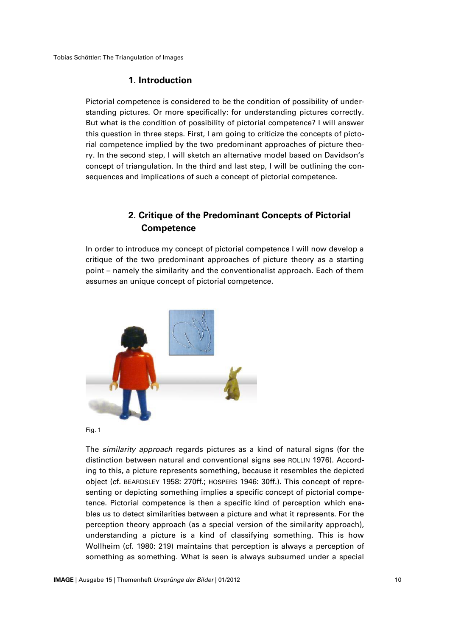Tobias Schöttler: The Triangulation of Images

### **1. Introduction**

Pictorial competence is considered to be the condition of possibility of understanding pictures. Or more specifically: for understanding pictures correctly. But what is the condition of possibility of pictorial competence? I will answer this question in three steps. First, I am going to criticize the concepts of pictorial competence implied by the two predominant approaches of picture theory. In the second step, I will sketch an alternative model based on Davidson's concept of triangulation. In the third and last step, I will be outlining the consequences and implications of such a concept of pictorial competence.

### **2. Critique of the Predominant Concepts of Pictorial Competence**

In order to introduce my concept of pictorial competence I will now develop a critique of the two predominant approaches of picture theory as a starting point – namely the similarity and the conventionalist approach. Each of them assumes an unique concept of pictorial competence.





The *similarity approach* regards pictures as a kind of natural signs (for the distinction between natural and conventional signs see ROLLIN 1976). According to this, a picture represents something, because it resembles the depicted object (cf. BEARDSLEY 1958: 270ff.; HOSPERS 1946: 30ff.). This concept of representing or depicting something implies a specific concept of pictorial competence. Pictorial competence is then a specific kind of perception which enables us to detect similarities between a picture and what it represents. For the perception theory approach (as a special version of the similarity approach), understanding a picture is a kind of classifying something. This is how Wollheim (cf. 1980: 219) maintains that perception is always a perception of something as something. What is seen is always subsumed under a special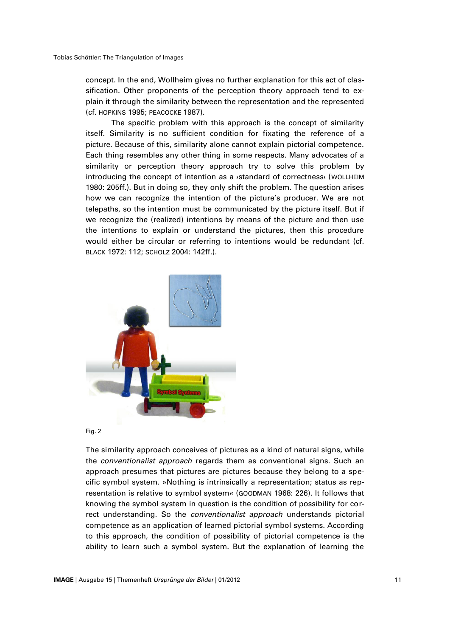concept. In the end, Wollheim gives no further explanation for this act of classification. Other proponents of the perception theory approach tend to explain it through the similarity between the representation and the represented (cf. HOPKINS 1995; PEACOCKE 1987).

The specific problem with this approach is the concept of similarity itself. Similarity is no sufficient condition for fixating the reference of a picture. Because of this, similarity alone cannot explain pictorial competence. Each thing resembles any other thing in some respects. Many advocates of a similarity or perception theory approach try to solve this problem by introducing the concept of intention as a ›standard of correctness‹ (WOLLHEIM 1980: 205ff.). But in doing so, they only shift the problem. The question arises how we can recognize the intention of the picture's producer. We are not telepaths, so the intention must be communicated by the picture itself. But if we recognize the (realized) intentions by means of the picture and then use the intentions to explain or understand the pictures, then this procedure would either be circular or referring to intentions would be redundant (cf. BLACK 1972: 112; SCHOLZ 2004: 142ff.).



Fig. 2

The similarity approach conceives of pictures as a kind of natural signs, while the *conventionalist approach* regards them as conventional signs. Such an approach presumes that pictures are pictures because they belong to a specific symbol system. »Nothing is intrinsically a representation; status as representation is relative to symbol system« (GOODMAN 1968: 226). It follows that knowing the symbol system in question is the condition of possibility for correct understanding. So the *conventionalist approach* understands pictorial competence as an application of learned pictorial symbol systems. According to this approach, the condition of possibility of pictorial competence is the ability to learn such a symbol system. But the explanation of learning the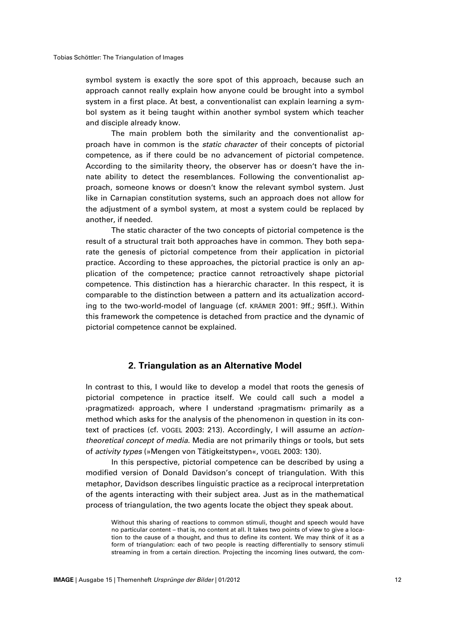symbol system is exactly the sore spot of this approach, because such an approach cannot really explain how anyone could be brought into a symbol system in a first place. At best, a conventionalist can explain learning a symbol system as it being taught within another symbol system which teacher and disciple already know.

The main problem both the similarity and the conventionalist approach have in common is the *static character* of their concepts of pictorial competence, as if there could be no advancement of pictorial competence. According to the similarity theory, the observer has or doesn't have the innate ability to detect the resemblances. Following the conventionalist approach, someone knows or doesn't know the relevant symbol system. Just like in Carnapian constitution systems, such an approach does not allow for the adjustment of a symbol system, at most a system could be replaced by another, if needed.

The static character of the two concepts of pictorial competence is the result of a structural trait both approaches have in common. They both separate the genesis of pictorial competence from their application in pictorial practice. According to these approaches, the pictorial practice is only an application of the competence; practice cannot retroactively shape pictorial competence. This distinction has a hierarchic character. In this respect, it is comparable to the distinction between a pattern and its actualization according to the two-world-model of language (cf. KRÄMER 2001: 9ff.; 95ff.). Within this framework the competence is detached from practice and the dynamic of pictorial competence cannot be explained.

#### **2. Triangulation as an Alternative Model**

In contrast to this, I would like to develop a model that roots the genesis of pictorial competence in practice itself. We could call such a model a ›pragmatized‹ approach, where I understand ›pragmatism‹ primarily as a method which asks for the analysis of the phenomenon in question in its context of practices (cf. VOGEL 2003: 213). Accordingly, I will assume an *actiontheoretical concept of media*. Media are not primarily things or tools, but sets of *activity types* (»Mengen von Tätigkeitstypen«, VOGEL 2003: 130).

In this perspective, pictorial competence can be described by using a modified version of Donald Davidson's concept of triangulation. With this metaphor, Davidson describes linguistic practice as a reciprocal interpretation of the agents interacting with their subject area. Just as in the mathematical process of triangulation, the two agents locate the object they speak about.

Without this sharing of reactions to common stimuli, thought and speech would have no particular content – that is, no content at all. It takes two points of view to give a location to the cause of a thought, and thus to define its content. We may think of it as a form of triangulation: each of two people is reacting differentially to sensory stimuli streaming in from a certain direction. Projecting the incoming lines outward, the com-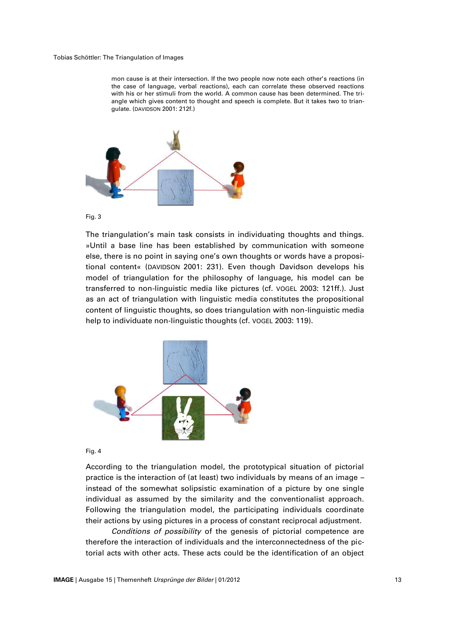#### Tobias Schöttler: The Triangulation of Images

mon cause is at their intersection. If the two people now note each other's reactions (in the case of language, verbal reactions), each can correlate these observed reactions with his or her stimuli from the world. A common cause has been determined. The triangle which gives content to thought and speech is complete. But it takes two to triangulate. (DAVIDSON 2001: 212f.)





The triangulation's main task consists in individuating thoughts and things. »Until a base line has been established by communication with someone else, there is no point in saying one's own thoughts or words have a propositional content« (DAVIDSON 2001: 231). Even though Davidson develops his model of triangulation for the philosophy of language, his model can be transferred to non-linguistic media like pictures (cf. VOGEL 2003: 121ff.). Just as an act of triangulation with linguistic media constitutes the propositional content of linguistic thoughts, so does triangulation with non-linguistic media help to individuate non-linguistic thoughts (cf. VOGEL 2003: 119).



Fig. 4

According to the triangulation model, the prototypical situation of pictorial practice is the interaction of (at least) two individuals by means of an image – instead of the somewhat solipsistic examination of a picture by one single individual as assumed by the similarity and the conventionalist approach. Following the triangulation model, the participating individuals coordinate their actions by using pictures in a process of constant reciprocal adjustment.

*Conditions of possibility* of the genesis of pictorial competence are therefore the interaction of individuals and the interconnectedness of the pictorial acts with other acts. These acts could be the identification of an object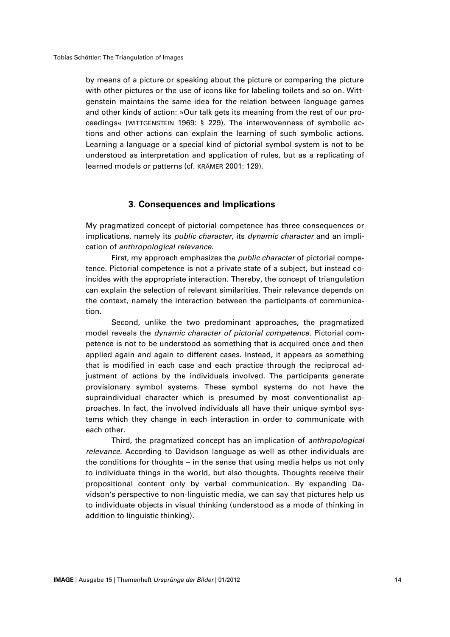by means of a picture or speaking about the picture or comparing the picture with other pictures or the use of icons like for labeling toilets and so on. Wittgenstein maintains the same idea for the relation between language games and other kinds of action: »Our talk gets its meaning from the rest of our proceedings« (WITTGENSTEIN 1969: § 229). The interwovenness of symbolic actions and other actions can explain the learning of such symbolic actions. Learning a language or a special kind of pictorial symbol system is not to be understood as interpretation and application of rules, but as a replicating of learned models or patterns (cf. KRÄMER 2001: 129).

#### **3. Consequences and Implications**

My pragmatized concept of pictorial competence has three consequences or implications, namely its *public character*, its *dynamic character* and an implication of *anthropological relevance*.

First, my approach emphasizes the *public character* of pictorial competence. Pictorial competence is not a private state of a subject, but instead coincides with the appropriate interaction. Thereby, the concept of triangulation can explain the selection of relevant similarities. Their relevance depends on the context, namely the interaction between the participants of communication.

Second, unlike the two predominant approaches, the pragmatized model reveals the *dynamic character of pictorial competence*. Pictorial competence is not to be understood as something that is acquired once and then applied again and again to different cases. Instead, it appears as something that is modified in each case and each practice through the reciprocal adjustment of actions by the individuals involved. The participants generate provisionary symbol systems. These symbol systems do not have the supraindividual character which is presumed by most conventionalist approaches. In fact, the involved individuals all have their unique symbol systems which they change in each interaction in order to communicate with each other.

Third, the pragmatized concept has an implication of *anthropological relevance*. According to Davidson language as well as other individuals are the conditions for thoughts – in the sense that using media helps us not only to individuate things in the world, but also thoughts. Thoughts receive their propositional content only by verbal communication. By expanding Davidson's perspective to non-linguistic media, we can say that pictures help us to individuate objects in visual thinking (understood as a mode of thinking in addition to linguistic thinking).